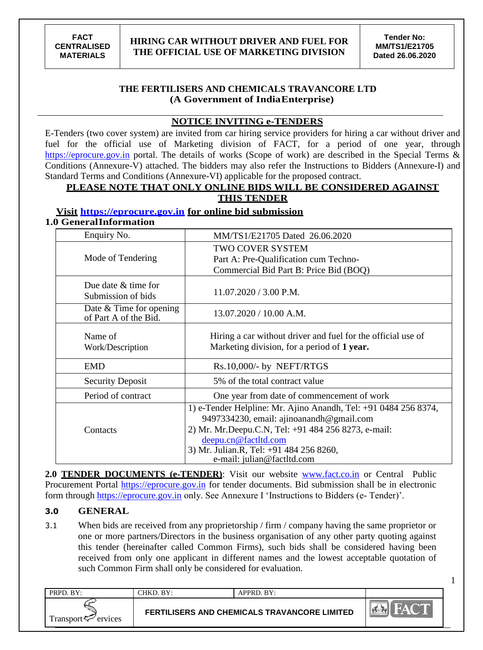1

# **THE FERTILISERS AND CHEMICALS TRAVANCORE LTD (A Government of IndiaEnterprise)**

# **NOTICE INVITING e-TENDERS**

E-Tenders (two cover system) are invited from car hiring service providers for hiring a car without driver and fuel for the official use of Marketing division of FACT, for a period of one year, through https://eprocure.gov.in portal. The details of works (Scope of work) are described in the Special Terms & Conditions (Annexure-V) attached. The bidders may also refer the Instructions to Bidders (Annexure-I) and Standard Terms and Conditions (Annexure-VI) applicable for the proposed contract.

# **PLEASE NOTE THAT ONLY ONLINE BIDS WILL BE CONSIDERED AGAINST**

# **THIS TENDER**

# **Visit https://eprocure.gov.in for online bid submission**

#### **1.0 GeneralInformation**

| Enquiry No.                                        | MM/TS1/E21705 Dated 26.06.2020                                                                                                                                                             |
|----------------------------------------------------|--------------------------------------------------------------------------------------------------------------------------------------------------------------------------------------------|
| Mode of Tendering                                  | <b>TWO COVER SYSTEM</b><br>Part A: Pre-Qualification cum Techno-                                                                                                                           |
|                                                    | Commercial Bid Part B: Price Bid (BOQ)                                                                                                                                                     |
| Due date & time for<br>Submission of bids          | $11.07.2020 / 3.00$ P.M.                                                                                                                                                                   |
| Date $&$ Time for opening<br>of Part A of the Bid. | 13.07.2020 / 10.00 A.M.                                                                                                                                                                    |
| Name of<br>Work/Description                        | Hiring a car without driver and fuel for the official use of<br>Marketing division, for a period of 1 year.                                                                                |
| <b>EMD</b>                                         | Rs.10,000/- by NEFT/RTGS                                                                                                                                                                   |
| <b>Security Deposit</b>                            | 5% of the total contract value                                                                                                                                                             |
| Period of contract                                 | One year from date of commencement of work                                                                                                                                                 |
| Contacts                                           | 1) e-Tender Helpline: Mr. Ajino Anandh, Tel: +91 0484 256 8374,<br>9497334230, email: ajinoanandh@gmail.com<br>2) Mr. Mr.Deepu.C.N, Tel: +91 484 256 8273, e-mail:<br>deepu.cn@factltd.com |
|                                                    | 3) Mr. Julian.R, Tel: +91 484 256 8260,<br>e-mail: julian@factltd.com                                                                                                                      |

**2.0 TENDER DOCUMENTS (e-TENDER)**: Visit our website [www.fact.co.in](http://www.fact.co.in/) or Central Public Procurement Portal https://eprocure.gov.in for tender documents. Bid submission shall be in electronic form through https://eprocure.gov.in only. See Annexure I 'Instructions to Bidders (e-Tender)'.

# **3.0 GENERAL**

3.1 When bids are received from any proprietorship / firm / company having the same proprietor or one or more partners/Directors in the business organisation of any other party quoting against this tender (hereinafter called Common Firms), such bids shall be considered having been received from only one applicant in different names and the lowest acceptable quotation of such Common Firm shall only be considered for evaluation.

| PRPD. BY:                      | CHKD. BY: | $APPRD$ . $BY:$                                     |  |
|--------------------------------|-----------|-----------------------------------------------------|--|
| Transport $\leftarrow$ ervices |           | <b>FERTILISERS AND CHEMICALS TRAVANCORE LIMITED</b> |  |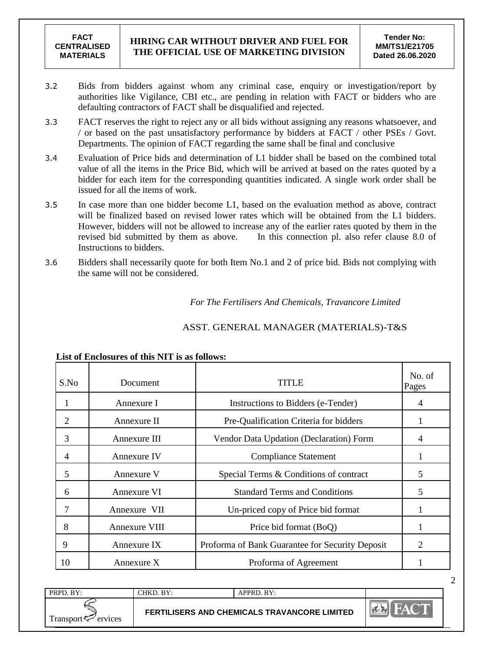- 3.2 Bids from bidders against whom any criminal case, enquiry or investigation/report by authorities like Vigilance, CBI etc., are pending in relation with FACT or bidders who are defaulting contractors of FACT shall be disqualified and rejected.
- 3.3 FACT reserves the right to reject any or all bids without assigning any reasons whatsoever, and / or based on the past unsatisfactory performance by bidders at FACT / other PSEs / Govt. Departments. The opinion of FACT regarding the same shall be final and conclusive
- 3.4 Evaluation of Price bids and determination of L1 bidder shall be based on the combined total value of all the items in the Price Bid, which will be arrived at based on the rates quoted by a bidder for each item for the corresponding quantities indicated. A single work order shall be issued for all the items of work.
- 3.5 In case more than one bidder become L1, based on the evaluation method as above, contract will be finalized based on revised lower rates which will be obtained from the L1 bidders. However, bidders will not be allowed to increase any of the earlier rates quoted by them in the revised bid submitted by them as above. In this connection pl. also refer clause 8.0 of Instructions to bidders.
- 3.6 Bidders shall necessarily quote for both Item No.1 and 2 of price bid. Bids not complying with the same will not be considered.

 *For The Fertilisers And Chemicals, Travancore Limited*

| S.No           | Document      | TITLE                                           | No. of<br>Pages |
|----------------|---------------|-------------------------------------------------|-----------------|
| 1              | Annexure I    | Instructions to Bidders (e-Tender)              | 4               |
| 2              | Annexure II   | Pre-Qualification Criteria for bidders          |                 |
| 3              | Annexure III  | Vendor Data Updation (Declaration) Form         | 4               |
| $\overline{4}$ | Annexure IV   | <b>Compliance Statement</b>                     |                 |
| 5              | Annexure V    | Special Terms & Conditions of contract          | 5               |
| 6              | Annexure VI   | <b>Standard Terms and Conditions</b>            | 5               |
| 7              | Annexure VII  | Un-priced copy of Price bid format              |                 |
| 8              | Annexure VIII | Price bid format (BoQ)                          |                 |
| 9              | Annexure IX   | Proforma of Bank Guarantee for Security Deposit | 2               |
| 10             | Annexure X    | Proforma of Agreement                           |                 |

# ASST. GENERAL MANAGER (MATERIALS)-T&S

#### **List of Enclosures of this NIT is as follows:**

| PRPD. BY:                      | $CHKD$ . $BY:$ | $APPRD$ . $BY:$                              |  |
|--------------------------------|----------------|----------------------------------------------|--|
| Transport $\leftarrow$ ervices |                | FERTILISERS AND CHEMICALS TRAVANCORE LIMITED |  |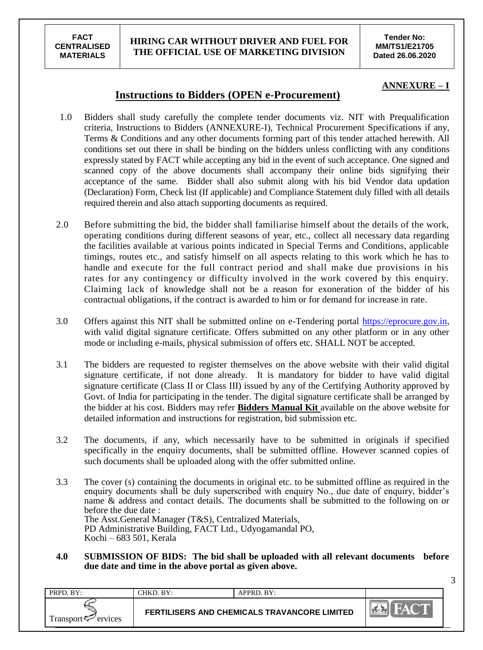#### **HIRING CAR WITHOUT DRIVER AND FUEL FOR THE OFFICIAL USE OF MARKETING DIVISION**

**Tender No: MM/TS1/E21705 Dated 26.06.2020**

#### **ANNEXURE – I**

3

# **Instructions to Bidders (OPEN e-Procurement)**

- 1.0 Bidders shall study carefully the complete tender documents viz. NIT with Prequalification criteria, Instructions to Bidders (ANNEXURE-I), Technical Procurement Specifications if any, Terms & Conditions and any other documents forming part of this tender attached herewith. All conditions set out there in shall be binding on the bidders unless conflicting with any conditions expressly stated by FACT while accepting any bid in the event of such acceptance. One signed and scanned copy of the above documents shall accompany their online bids signifying their acceptance of the same. Bidder shall also submit along with his bid Vendor data updation (Declaration) Form, Check list (If applicable) and Compliance Statement duly filled with all details required therein and also attach supporting documents as required.
- 2.0 Before submitting the bid, the bidder shall familiarise himself about the details of the work, operating conditions during different seasons of year, etc., collect all necessary data regarding the facilities available at various points indicated in Special Terms and Conditions, applicable timings, routes etc., and satisfy himself on all aspects relating to this work which he has to handle and execute for the full contract period and shall make due provisions in his rates for any contingency or difficulty involved in the work covered by this enquiry. Claiming lack of knowledge shall not be a reason for exoneration of the bidder of his contractual obligations, if the contract is awarded to him or for demand for increase in rate.
- 3.0 Offers against this NIT shall be submitted online on e-Tendering portal [https://eprocure.gov.in,](https://eprocure.gov.in/) with valid digital signature certificate. Offers submitted on any other platform or in any other mode or including e-mails, physical submission of offers etc. SHALL NOT be accepted.
- 3.1 The bidders are requested to register themselves on the above website with their valid digital signature certificate, if not done already. It is mandatory for bidder to have valid digital signature certificate (Class II or Class III) issued by any of the Certifying Authority approved by Govt. of India for participating in the tender. The digital signature certificate shall be arranged by the bidder at his cost. Bidders may refer **Bidders Manual Kit** available on the above website for detailed information and instructions for registration, bid submission etc.
- 3.2 The documents, if any, which necessarily have to be submitted in originals if specified specifically in the enquiry documents, shall be submitted offline. However scanned copies of such documents shall be uploaded along with the offer submitted online.
- 3.3 The cover (s) containing the documents in original etc. to be submitted offline as required in the enquiry documents shall be duly superscribed with enquiry No., due date of enquiry, bidder's name & address and contact details. The documents shall be submitted to the following on or before the due date : The Asst.General Manager (T&S), Centralized Materials, PD Administrative Building, FACT Ltd., Udyogamandal PO, Kochi – 683 501, Kerala
- **4.0 SUBMISSION OF BIDS: The bid shall be uploaded with all relevant documents before due date and time in the above portal as given above.**

| PRPD. BY:                      | CHKD. BY: | $APPRD$ $RY$                                        |         |
|--------------------------------|-----------|-----------------------------------------------------|---------|
| Transport <sup>7</sup> ervices |           | <b>FERTILISERS AND CHEMICALS TRAVANCORE LIMITED</b> | $H - H$ |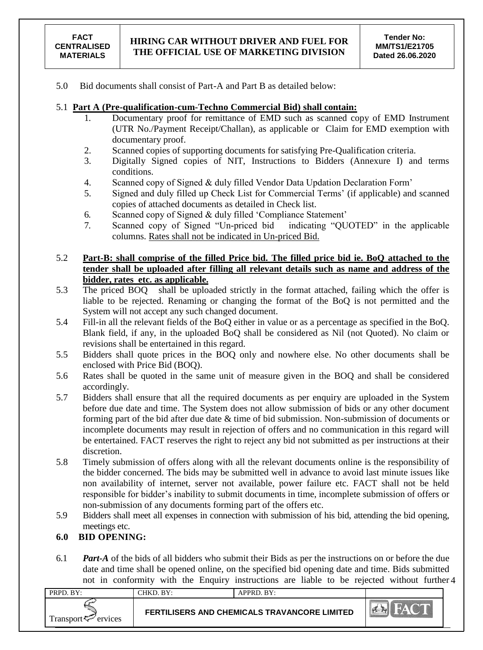5.0 Bid documents shall consist of Part-A and Part B as detailed below:

# 5.1 **Part A (Pre-qualification-cum-Techno Commercial Bid) shall contain:**

- 1. Documentary proof for remittance of EMD such as scanned copy of EMD Instrument (UTR No./Payment Receipt/Challan), as applicable or Claim for EMD exemption with documentary proof.
- 2. Scanned copies of supporting documents for satisfying Pre-Qualification criteria.
- 3. Digitally Signed copies of NIT, Instructions to Bidders (Annexure I) and terms conditions.
- 4. Scanned copy of Signed & duly filled Vendor Data Updation Declaration Form"
- 5. Signed and duly filled up Check List for Commercial Terms" (if applicable) and scanned copies of attached documents as detailed in Check list.
- 6. Scanned copy of Signed & duly filled "Compliance Statement"
- 7. Scanned copy of Signed "Un-priced bid indicating "QUOTED" in the applicable columns. Rates shall not be indicated in Un-priced Bid.
- 5.2 **Part-B: shall comprise of the filled Price bid. The filled price bid ie. BoQ attached to the tender shall be uploaded after filling all relevant details such as name and address of the bidder, rates etc. as applicable.**
- 5.3 The priced BOQ shall be uploaded strictly in the format attached, failing which the offer is liable to be rejected. Renaming or changing the format of the BoQ is not permitted and the System will not accept any such changed document.
- 5.4 Fill-in all the relevant fields of the BoQ either in value or as a percentage as specified in the BoQ. Blank field, if any, in the uploaded BoQ shall be considered as Nil (not Quoted). No claim or revisions shall be entertained in this regard.
- 5.5 Bidders shall quote prices in the BOQ only and nowhere else. No other documents shall be enclosed with Price Bid (BOQ).
- 5.6 Rates shall be quoted in the same unit of measure given in the BOQ and shall be considered accordingly.
- 5.7 Bidders shall ensure that all the required documents as per enquiry are uploaded in the System before due date and time. The System does not allow submission of bids or any other document forming part of the bid after due date & time of bid submission. Non-submission of documents or incomplete documents may result in rejection of offers and no communication in this regard will be entertained. FACT reserves the right to reject any bid not submitted as per instructions at their discretion.
- 5.8 Timely submission of offers along with all the relevant documents online is the responsibility of the bidder concerned. The bids may be submitted well in advance to avoid last minute issues like non availability of internet, server not available, power failure etc. FACT shall not be held responsible for bidder"s inability to submit documents in time, incomplete submission of offers or non-submission of any documents forming part of the offers etc.
- 5.9 Bidders shall meet all expenses in connection with submission of his bid, attending the bid opening, meetings etc.

# **6.0 BID OPENING:**

not in conformity with the Enquiry instructions are liable to be rejected without further 4 6.1 *Part-A* of the bids of all bidders who submit their Bids as per the instructions on or before the due date and time shall be opened online, on the specified bid opening date and time. Bids submitted

| $PRPD$ . $BY:$                 | CHKD. BY: | APPRD. BY:                                          |  |
|--------------------------------|-----------|-----------------------------------------------------|--|
| Transport <sup>7</sup> ervices |           | <b>FERTILISERS AND CHEMICALS TRAVANCORE LIMITED</b> |  |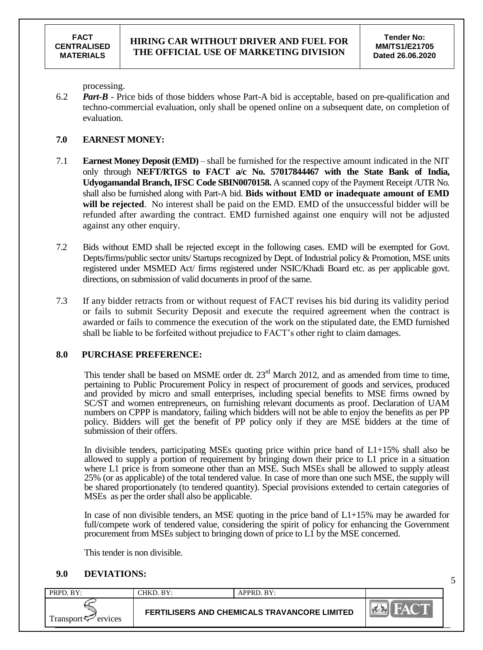5

processing.

6.2 *Part-B* - Price bids of those bidders whose Part-A bid is acceptable, based on pre-qualification and techno-commercial evaluation, only shall be opened online on a subsequent date, on completion of evaluation.

#### **7.0 EARNEST MONEY:**

- 7.1 **Earnest Money Deposit (EMD)** shall be furnished for the respective amount indicated in the NIT only through **NEFT/RTGS to FACT a/c No. 57017844467 with the State Bank of India, Udyogamandal Branch, IFSC Code SBIN0070158.** A scanned copy of the Payment Receipt /UTR No. shall also be furnished along with Part-A bid. **Bids without EMD or inadequate amount of EMD will be rejected**. No interest shall be paid on the EMD. EMD of the unsuccessful bidder will be refunded after awarding the contract. EMD furnished against one enquiry will not be adjusted against any other enquiry.
- 7.2 Bids without EMD shall be rejected except in the following cases. EMD will be exempted for Govt. Depts/firms/public sector units/ Startups recognized by Dept. of Industrial policy & Promotion, MSE units registered under MSMED Act/ firms registered under NSIC/Khadi Board etc. as per applicable govt. directions, on submission of valid documents in proof of the same.
- 7.3 If any bidder retracts from or without request of FACT revises his bid during its validity period or fails to submit Security Deposit and execute the required agreement when the contract is awarded or fails to commence the execution of the work on the stipulated date, the EMD furnished shall be liable to be forfeited without prejudice to FACT"s other right to claim damages.

# **8.0 PURCHASE PREFERENCE:**

This tender shall be based on MSME order dt.  $23<sup>rd</sup>$  March 2012, and as amended from time to time, pertaining to Public Procurement Policy in respect of procurement of goods and services, produced and provided by micro and small enterprises, including special benefits to MSE firms owned by SC/ST and women entrepreneurs, on furnishing relevant documents as proof. Declaration of UAM numbers on CPPP is mandatory, failing which bidders will not be able to enjoy the benefits as per PP policy. Bidders will get the benefit of PP policy only if they are MSE bidders at the time of submission of their offers.

In divisible tenders, participating MSEs quoting price within price band of L1+15% shall also be allowed to supply a portion of requirement by bringing down their price to L1 price in a situation where L1 price is from someone other than an MSE. Such MSEs shall be allowed to supply at least 25% (or as applicable) of the total tendered value. In case of more than one such MSE, the supply will be shared proportionately (to tendered quantity). Special provisions extended to certain categories of MSEs as per the order shall also be applicable.

In case of non divisible tenders, an MSE quoting in the price band of  $L1+15%$  may be awarded for full/compete work of tendered value, considering the spirit of policy for enhancing the Government procurement from MSEs subject to bringing down of price to L1 by the MSE concerned.

This tender is non divisible.

# **9.0 DEVIATIONS:**

| PRPD. BY:           | CHKD. BY: | APPRD. BY:                                          |  |
|---------------------|-----------|-----------------------------------------------------|--|
| Transport ⊊ ervices |           | <b>FERTILISERS AND CHEMICALS TRAVANCORE LIMITED</b> |  |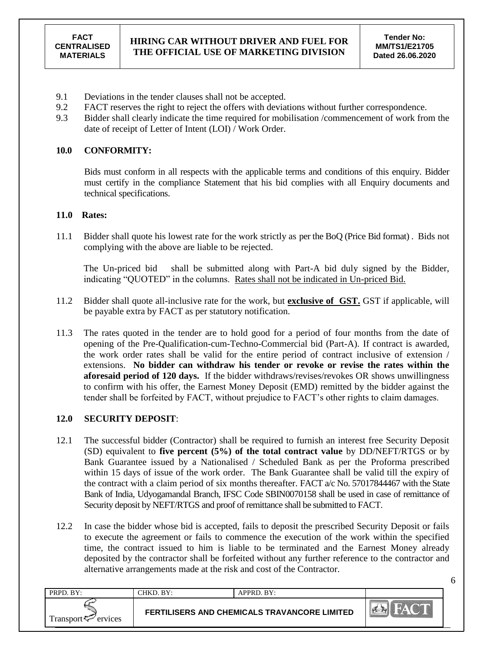6

- 9.1 Deviations in the tender clauses shall not be accepted.
- 9.2 FACT reserves the right to reject the offers with deviations without further correspondence.
- 9.3 Bidder shall clearly indicate the time required for mobilisation /commencement of work from the date of receipt of Letter of Intent (LOI) / Work Order.

#### **10.0 CONFORMITY:**

Bids must conform in all respects with the applicable terms and conditions of this enquiry. Bidder must certify in the compliance Statement that his bid complies with all Enquiry documents and technical specifications.

#### **11.0 Rates:**

11.1 Bidder shall quote his lowest rate for the work strictly as per the BoQ (Price Bid format) . Bids not complying with the above are liable to be rejected.

The Un-priced bid shall be submitted along with Part-A bid duly signed by the Bidder, indicating "QUOTED" in the columns. Rates shall not be indicated in Un-priced Bid.

- 11.2 Bidder shall quote all-inclusive rate for the work, but **exclusive of GST.** GST if applicable, will be payable extra by FACT as per statutory notification.
- 11.3 The rates quoted in the tender are to hold good for a period of four months from the date of opening of the Pre-Qualification-cum-Techno-Commercial bid (Part-A). If contract is awarded, the work order rates shall be valid for the entire period of contract inclusive of extension / extensions. **No bidder can withdraw his tender or revoke or revise the rates within the aforesaid period of 120 days.** If the bidder withdraws/revises/revokes OR shows unwillingness to confirm with his offer, the Earnest Money Deposit (EMD) remitted by the bidder against the tender shall be forfeited by FACT, without prejudice to FACT"s other rights to claim damages.

# **12.0 SECURITY DEPOSIT**:

- 12.1 The successful bidder (Contractor) shall be required to furnish an interest free Security Deposit (SD) equivalent to **five percent (5%) of the total contract value** by DD/NEFT/RTGS or by Bank Guarantee issued by a Nationalised / Scheduled Bank as per the Proforma prescribed within 15 days of issue of the work order. The Bank Guarantee shall be valid till the expiry of the contract with a claim period of six months thereafter. FACT a/c No. 57017844467 with the State Bank of India, Udyogamandal Branch, IFSC Code SBIN0070158 shall be used in case of remittance of Security deposit by NEFT/RTGS and proof of remittance shall be submitted to FACT.
- 12.2 In case the bidder whose bid is accepted, fails to deposit the prescribed Security Deposit or fails to execute the agreement or fails to commence the execution of the work within the specified time, the contract issued to him is liable to be terminated and the Earnest Money already deposited by the contractor shall be forfeited without any further reference to the contractor and alternative arrangements made at the risk and cost of the Contractor.

| PRPD. BY:                      | CHKD. BY: | $APPRD$ $BY:$                                |                  |
|--------------------------------|-----------|----------------------------------------------|------------------|
| Transport $\leftarrow$ ervices |           | FERTILISERS AND CHEMICALS TRAVANCORE LIMITED | $\sum_{k=1}^{n}$ |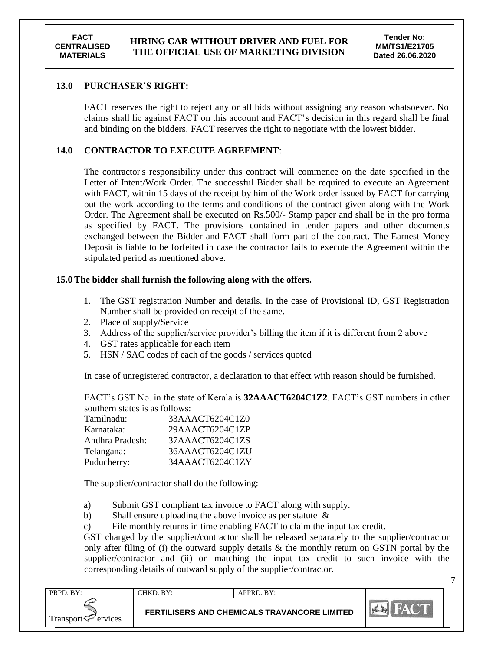7

#### **13.0 PURCHASER'S RIGHT:**

FACT reserves the right to reject any or all bids without assigning any reason whatsoever. No claims shall lie against FACT on this account and FACT"s decision in this regard shall be final and binding on the bidders. FACT reserves the right to negotiate with the lowest bidder.

#### **14.0 CONTRACTOR TO EXECUTE AGREEMENT**:

The contractor's responsibility under this contract will commence on the date specified in the Letter of Intent/Work Order. The successful Bidder shall be required to execute an Agreement with FACT, within 15 days of the receipt by him of the Work order issued by FACT for carrying out the work according to the terms and conditions of the contract given along with the Work Order. The Agreement shall be executed on Rs.500/- Stamp paper and shall be in the pro forma as specified by FACT. The provisions contained in tender papers and other documents exchanged between the Bidder and FACT shall form part of the contract. The Earnest Money Deposit is liable to be forfeited in case the contractor fails to execute the Agreement within the stipulated period as mentioned above.

#### **15.0 The bidder shall furnish the following along with the offers.**

- 1. The GST registration Number and details. In the case of Provisional ID, GST Registration Number shall be provided on receipt of the same.
- 2. Place of supply/Service
- 3. Address of the supplier/service provider's billing the item if it is different from 2 above
- 4. GST rates applicable for each item
- 5. HSN / SAC codes of each of the goods / services quoted

In case of unregistered contractor, a declaration to that effect with reason should be furnished.

FACT"s GST No. in the state of Kerala is **32AAACT6204C1Z2**. FACT"s GST numbers in other southern states is as follows:

| Tamilnadu:      | 33AAACT6204C1Z0 |
|-----------------|-----------------|
| Karnataka:      | 29AAACT6204C1ZP |
| Andhra Pradesh: | 37AAACT6204C1ZS |
| Telangana:      | 36AAACT6204C1ZU |
| Puducherry:     | 34AAACT6204C1ZY |

The supplier/contractor shall do the following:

- a) Submit GST compliant tax invoice to FACT along with supply.
- b) Shall ensure uploading the above invoice as per statute  $\&$
- c) File monthly returns in time enabling FACT to claim the input tax credit.

GST charged by the supplier/contractor shall be released separately to the supplier/contractor only after filing of (i) the outward supply details  $\&$  the monthly return on GSTN portal by the supplier/contractor and (ii) on matching the input tax credit to such invoice with the corresponding details of outward supply of the supplier/contractor.

| PRPD. BY:                | CHKD. BY: | APPRD. BY:                                   |  |
|--------------------------|-----------|----------------------------------------------|--|
| Transport $\sim$ ervices |           | FERTILISERS AND CHEMICALS TRAVANCORE LIMITED |  |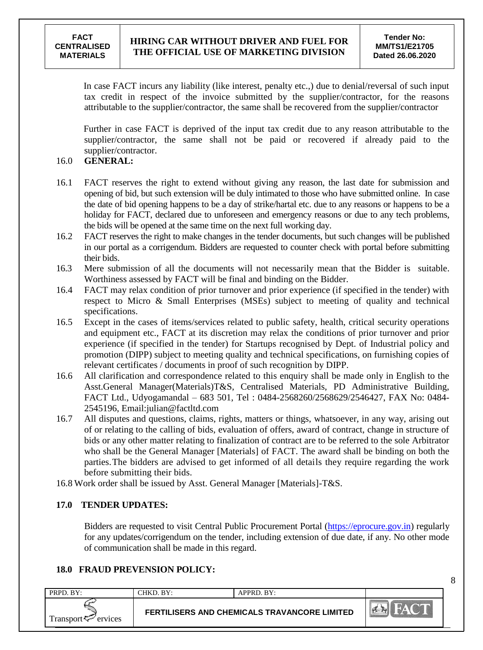In case FACT incurs any liability (like interest, penalty etc.,) due to denial/reversal of such input tax credit in respect of the invoice submitted by the supplier/contractor, for the reasons attributable to the supplier/contractor, the same shall be recovered from the supplier/contractor

Further in case FACT is deprived of the input tax credit due to any reason attributable to the supplier/contractor, the same shall not be paid or recovered if already paid to the supplier/contractor.

# 16.0 **GENERAL:**

- 16.1 FACT reserves the right to extend without giving any reason, the last date for submission and opening of bid, but such extension will be duly intimated to those who have submitted online. In case the date of bid opening happens to be a day of strike/hartal etc. due to any reasons or happens to be a holiday for FACT, declared due to unforeseen and emergency reasons or due to any tech problems, the bids will be opened at the same time on the next full working day.
- 16.2 FACT reserves the right to make changes in the tender documents, but such changes will be published in our portal as a corrigendum. Bidders are requested to counter check with portal before submitting their bids.
- 16.3 Mere submission of all the documents will not necessarily mean that the Bidder is suitable. Worthiness assessed by FACT will be final and binding on the Bidder.
- 16.4 FACT may relax condition of prior turnover and prior experience (if specified in the tender) with respect to Micro & Small Enterprises (MSEs) subject to meeting of quality and technical specifications.
- 16.5 Except in the cases of items/services related to public safety, health, critical security operations and equipment etc., FACT at its discretion may relax the conditions of prior turnover and prior experience (if specified in the tender) for Startups recognised by Dept. of Industrial policy and promotion (DIPP) subject to meeting quality and technical specifications, on furnishing copies of relevant certificates / documents in proof of such recognition by DIPP.
- 16.6 All clarification and correspondence related to this enquiry shall be made only in English to the Asst.General Manager(Materials)T&S, Centralised Materials, PD Administrative Building, FACT Ltd., Udyogamandal – 683 501, Tel : 0484-2568260/2568629/2546427, FAX No: 0484- 2545196, Email:julian@factltd.com
- 16.7 All disputes and questions, claims, rights, matters or things, whatsoever, in any way, arising out of or relating to the calling of bids, evaluation of offers, award of contract, change in structure of bids or any other matter relating to finalization of contract are to be referred to the sole Arbitrator who shall be the General Manager [Materials] of FACT. The award shall be binding on both the parties.The bidders are advised to get informed of all details they require regarding the work before submitting their bids.
- 16.8 Work order shall be issued by Asst. General Manager [Materials]-T&S.

# **17.0 TENDER UPDATES:**

Bidders are requested to visit Central Public Procurement Portal [\(https://eprocure.gov.in\)](https://eprocure.gov.in/) regularly for any updates/corrigendum on the tender, including extension of due date, if any. No other mode of communication shall be made in this regard.

# **18.0 FRAUD PREVENSION POLICY:**

| PRPD. BY:                      | CHKD. BY: | $APPRD$ . BY:                                       |        |
|--------------------------------|-----------|-----------------------------------------------------|--------|
| Transport $\leftarrow$ ervices |           | <b>FERTILISERS AND CHEMICALS TRAVANCORE LIMITED</b> | $\sim$ |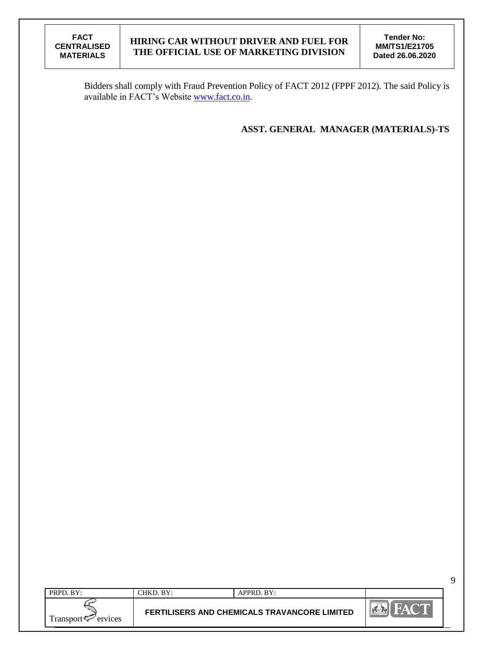**Tender No: MM/TS1/E21705 Dated 26.06.2020**

9

Bidders shall comply with Fraud Prevention Policy of FACT 2012 (FPPF 2012). The said Policy is available in FACT's Website [www.fact.co.in.](http://www.fact.co.in/)

**ASST. GENERAL MANAGER (MATERIALS)-TS**

| PRPD. BY:                      | CHKD. BY: | APPRD. BY:                                   |                  |
|--------------------------------|-----------|----------------------------------------------|------------------|
| Transport <sup>7</sup> ervices |           | FERTILISERS AND CHEMICALS TRAVANCORE LIMITED | <b>President</b> |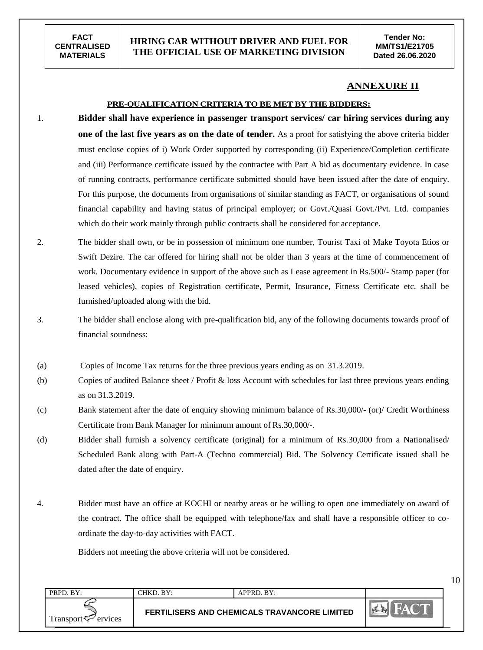# **HIRING CAR WITHOUT DRIVER AND FUEL FOR THE OFFICIAL USE OF MARKETING DIVISION**

10

#### **ANNEXURE II**

#### **PRE-QUALIFICATION CRITERIA TO BE MET BY THE BIDDERS:**

- 1. **Bidder shall have experience in passenger transport services/ car hiring services during any one of the last five years as on the date of tender.** As a proof for satisfying the above criteria bidder must enclose copies of i) Work Order supported by corresponding (ii) Experience/Completion certificate and (iii) Performance certificate issued by the contractee with Part A bid as documentary evidence. In case of running contracts, performance certificate submitted should have been issued after the date of enquiry. For this purpose, the documents from organisations of similar standing as FACT, or organisations of sound financial capability and having status of principal employer; or Govt./Quasi Govt./Pvt. Ltd. companies which do their work mainly through public contracts shall be considered for acceptance.
- 2. The bidder shall own, or be in possession of minimum one number, Tourist Taxi of Make Toyota Etios or Swift Dezire. The car offered for hiring shall not be older than 3 years at the time of commencement of work. Documentary evidence in support of the above such as Lease agreement in Rs.500/- Stamp paper (for leased vehicles), copies of Registration certificate, Permit, Insurance, Fitness Certificate etc. shall be furnished/uploaded along with the bid.
- 3. The bidder shall enclose along with pre-qualification bid, any of the following documents towards proof of financial soundness:
- (a) Copies of Income Tax returns for the three previous years ending as on 31.3.2019.
- (b) Copies of audited Balance sheet / Profit & loss Account with schedules for last three previous years ending as on 31.3.2019.
- (c) Bank statement after the date of enquiry showing minimum balance of Rs.30,000/- (or)/ Credit Worthiness Certificate from Bank Manager for minimum amount of Rs.30,000/-.
- (d) Bidder shall furnish a solvency certificate (original) for a minimum of Rs.30,000 from a Nationalised/ Scheduled Bank along with Part-A (Techno commercial) Bid. The Solvency Certificate issued shall be dated after the date of enquiry.
- 4. Bidder must have an office at KOCHI or nearby areas or be willing to open one immediately on award of the contract. The office shall be equipped with telephone/fax and shall have a responsible officer to coordinate the day-to-day activities with FACT.

Bidders not meeting the above criteria will not be considered.

| PRPD. BY:           | CHKD. BY: | APPRD. BY:                                          |                               |
|---------------------|-----------|-----------------------------------------------------|-------------------------------|
| Transport < Frances |           | <b>FERTILISERS AND CHEMICALS TRAVANCORE LIMITED</b> | $\frac{1}{2}$<br>$\mathbb{Z}$ |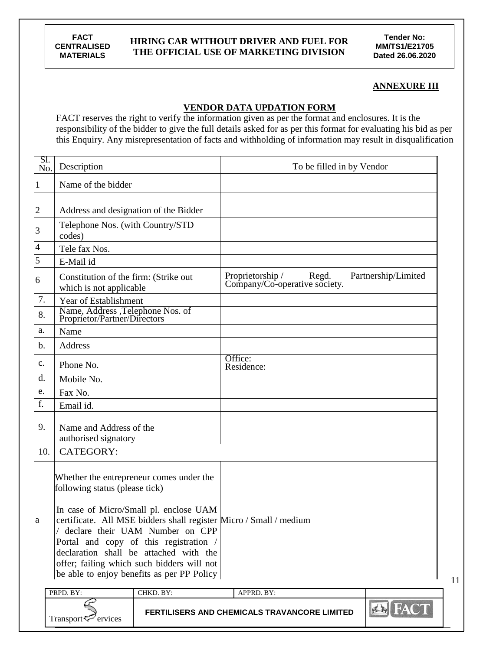**Tender No: MM/TS1/E21705 Dated 26.06.2020**

#### **ANNEXURE III**

11

# **VENDOR DATA UPDATION FORM**

FACT reserves the right to verify the information given as per the format and enclosures. It is the responsibility of the bidder to give the full details asked for as per this format for evaluating his bid as per this Enquiry. Any misrepresentation of facts and withholding of information may result in disqualification

| SI.<br>No.     | Description                                                              |                                                                                                                                                                                                                                                                                                       | To be filled in by Vendor                                          |                     |
|----------------|--------------------------------------------------------------------------|-------------------------------------------------------------------------------------------------------------------------------------------------------------------------------------------------------------------------------------------------------------------------------------------------------|--------------------------------------------------------------------|---------------------|
| $\mathbf{1}$   | Name of the bidder                                                       |                                                                                                                                                                                                                                                                                                       |                                                                    |                     |
| $\overline{c}$ | Address and designation of the Bidder                                    |                                                                                                                                                                                                                                                                                                       |                                                                    |                     |
| 3              | Telephone Nos. (with Country/STD<br>codes)                               |                                                                                                                                                                                                                                                                                                       |                                                                    |                     |
| 4              | Tele fax Nos.                                                            |                                                                                                                                                                                                                                                                                                       |                                                                    |                     |
| 5              | E-Mail id                                                                |                                                                                                                                                                                                                                                                                                       |                                                                    |                     |
| 6              | Constitution of the firm: (Strike out<br>which is not applicable         |                                                                                                                                                                                                                                                                                                       | Proprietorship /<br>Regd.<br>Company/Co-operative society.         | Partnership/Limited |
| 7.             | Year of Establishment                                                    |                                                                                                                                                                                                                                                                                                       |                                                                    |                     |
| 8.             | Name, Address ,Telephone Nos. of<br>Proprietor/Partner/Directors         |                                                                                                                                                                                                                                                                                                       |                                                                    |                     |
| a.             | Name                                                                     |                                                                                                                                                                                                                                                                                                       |                                                                    |                     |
| b.             | Address                                                                  |                                                                                                                                                                                                                                                                                                       |                                                                    |                     |
| $\mathbf{c}$ . | Phone No.                                                                |                                                                                                                                                                                                                                                                                                       | Office:<br>Residence:                                              |                     |
| d.             | Mobile No.                                                               |                                                                                                                                                                                                                                                                                                       |                                                                    |                     |
| e.             | Fax No.                                                                  |                                                                                                                                                                                                                                                                                                       |                                                                    |                     |
| f.             | Email id.                                                                |                                                                                                                                                                                                                                                                                                       |                                                                    |                     |
| 9.             | Name and Address of the<br>authorised signatory                          |                                                                                                                                                                                                                                                                                                       |                                                                    |                     |
| 10.            | <b>CATEGORY:</b>                                                         |                                                                                                                                                                                                                                                                                                       |                                                                    |                     |
| a              | following status (please tick)                                           | Whether the entrepreneur comes under the<br>In case of Micro/Small pl. enclose UAM<br>declare their UAM Number on CPP<br>Portal and copy of this registration /<br>declaration shall be attached with the<br>offer; failing which such bidders will not<br>be able to enjoy benefits as per PP Policy | certificate. All MSE bidders shall register Micro / Small / medium |                     |
|                | PRPD. BY:                                                                | CHKD. BY:                                                                                                                                                                                                                                                                                             | APPRD. BY:                                                         |                     |
|                | FERTILISERS AND CHEMICALS TRAVANCORE LIMITED<br>Transport $\leq$ ervices |                                                                                                                                                                                                                                                                                                       |                                                                    | <b>EN FACT</b>      |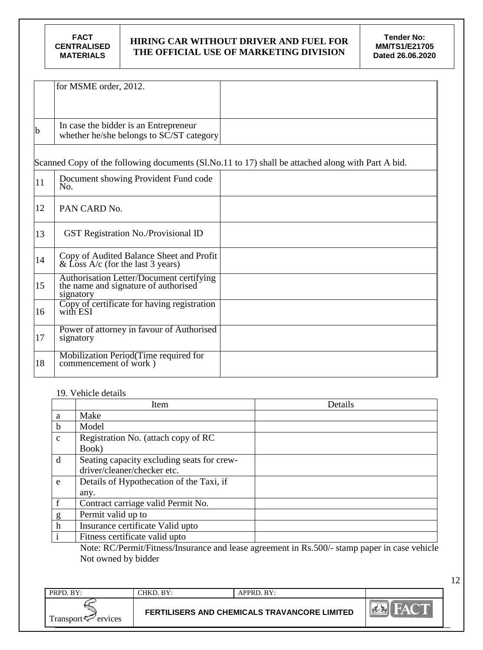|    | for MSME order, 2012.                                                                         |                                                                                                   |
|----|-----------------------------------------------------------------------------------------------|---------------------------------------------------------------------------------------------------|
|    |                                                                                               |                                                                                                   |
| b  | In case the bidder is an Entrepreneur<br>whether he/she belongs to SC/ST category             |                                                                                                   |
|    |                                                                                               | Scanned Copy of the following documents (Sl.No.11 to 17) shall be attached along with Part A bid. |
| 11 | Document showing Provident Fund code<br>No.                                                   |                                                                                                   |
| 12 | PAN CARD No.                                                                                  |                                                                                                   |
| 13 | <b>GST Registration No./Provisional ID</b>                                                    |                                                                                                   |
| 14 | Copy of Audited Balance Sheet and Profit<br>& Loss A/c (for the last 3 years)                 |                                                                                                   |
| 15 | Authorisation Letter/Document certifying<br>the name and signature of authorised<br>signatory |                                                                                                   |
| 16 | Copy of certificate for having registration<br>with ESI                                       |                                                                                                   |
| 17 | Power of attorney in favour of Authorised<br>signatory                                        |                                                                                                   |
| 18 | Mobilization Period(Time required for<br>commencement of work)                                |                                                                                                   |

#### 19. Vehicle details

|              | Item                                                                                                                                                                                                                                                                                                                                      | Details                              |
|--------------|-------------------------------------------------------------------------------------------------------------------------------------------------------------------------------------------------------------------------------------------------------------------------------------------------------------------------------------------|--------------------------------------|
| a            | Make                                                                                                                                                                                                                                                                                                                                      |                                      |
| b            | Model                                                                                                                                                                                                                                                                                                                                     |                                      |
| $\mathbf{C}$ | Registration No. (attach copy of RC                                                                                                                                                                                                                                                                                                       |                                      |
|              | Book)                                                                                                                                                                                                                                                                                                                                     |                                      |
| d            | Seating capacity excluding seats for crew-                                                                                                                                                                                                                                                                                                |                                      |
|              | driver/cleaner/checker etc.                                                                                                                                                                                                                                                                                                               |                                      |
| e            | Details of Hypothecation of the Taxi, if                                                                                                                                                                                                                                                                                                  |                                      |
|              | any.                                                                                                                                                                                                                                                                                                                                      |                                      |
|              | Contract carriage valid Permit No.                                                                                                                                                                                                                                                                                                        |                                      |
| g            | Permit valid up to                                                                                                                                                                                                                                                                                                                        |                                      |
| $\mathbf h$  | Insurance certificate Valid upto                                                                                                                                                                                                                                                                                                          |                                      |
|              | Fitness certificate valid upto                                                                                                                                                                                                                                                                                                            |                                      |
|              | $\mathbf{r}$ $\mathbf{r}$ $\mathbf{r}$ $\mathbf{r}$ $\mathbf{r}$ $\mathbf{r}$ $\mathbf{r}$ $\mathbf{r}$ $\mathbf{r}$ $\mathbf{r}$ $\mathbf{r}$ $\mathbf{r}$ $\mathbf{r}$ $\mathbf{r}$ $\mathbf{r}$ $\mathbf{r}$ $\mathbf{r}$ $\mathbf{r}$ $\mathbf{r}$ $\mathbf{r}$ $\mathbf{r}$ $\mathbf{r}$ $\mathbf{r}$ $\mathbf{r}$ $\mathbf{$<br>. . | $\cdot$ $\sim$ $\sim$ $\sim$ $\cdot$ |

Note: RC/Permit/Fitness/Insurance and lease agreement in Rs.500/- stamp paper in case vehicle Not owned by bidder

| PRPD. BY:           | $\rm CHKD\_BY:$ | $APPRD$ . $BY:$                                     |                                         |
|---------------------|-----------------|-----------------------------------------------------|-----------------------------------------|
| Transport < Frances |                 | <b>FERTILISERS AND CHEMICALS TRAVANCORE LIMITED</b> | $  \mathcal{O}  $ and $  \mathcal{O}  $ |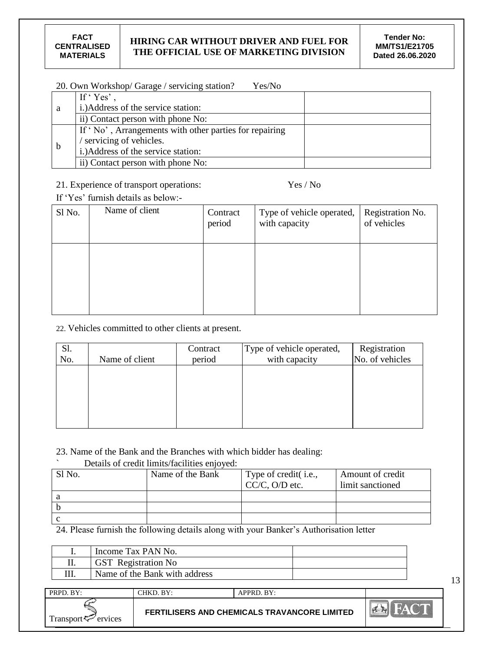|             | 20. Own Workshop/ Garage / servicing station?<br>Yes/No |
|-------------|---------------------------------------------------------|
|             | If ' $Yes'$ .                                           |
| -a          | i.) Address of the service station:                     |
|             | ii) Contact person with phone No:                       |
|             | If 'No', Arrangements with other parties for repairing  |
| $\mathbf b$ | servicing of vehicles.                                  |
|             | i.) Address of the service station:                     |
|             | ii) Contact person with phone No:                       |

21. Experience of transport operations: Yes / No

If 'Yes' furnish details as below:-

| Sl No. | Name of client | Contract<br>period | Type of vehicle operated,<br>with capacity | Registration No.<br>of vehicles |
|--------|----------------|--------------------|--------------------------------------------|---------------------------------|
|        |                |                    |                                            |                                 |
|        |                |                    |                                            |                                 |

# 22. Vehicles committed to other clients at present.

| Sl.<br>No. | Name of client | Contract<br>period | Type of vehicle operated,<br>with capacity | Registration<br>No. of vehicles |
|------------|----------------|--------------------|--------------------------------------------|---------------------------------|
|            |                |                    |                                            |                                 |
|            |                |                    |                                            |                                 |
|            |                |                    |                                            |                                 |

# 23. Name of the Bank and the Branches with which bidder has dealing:

# ` Details of credit limits/facilities enjoyed:

| Sl <sub>No.</sub> | Name of the Bank | Type of credit(i.e., | Amount of credit |
|-------------------|------------------|----------------------|------------------|
|                   |                  | $CC/C$ , O/D etc.    | limit sanctioned |
|                   |                  |                      |                  |
|                   |                  |                      |                  |
|                   |                  |                      |                  |

24. Please furnish the following details along with your Banker"s Authorisation letter

| <br>Income Tax PAN No.        |  |
|-------------------------------|--|
| GST Registration No           |  |
| Name of the Bank with address |  |
|                               |  |

| PRPD. BY:                      | CHKD. BY:                                    | APPRD. BY: |               |
|--------------------------------|----------------------------------------------|------------|---------------|
| Transport $\leftarrow$ ervices | FERTILISERS AND CHEMICALS TRAVANCORE LIMITED |            | <b>PASSER</b> |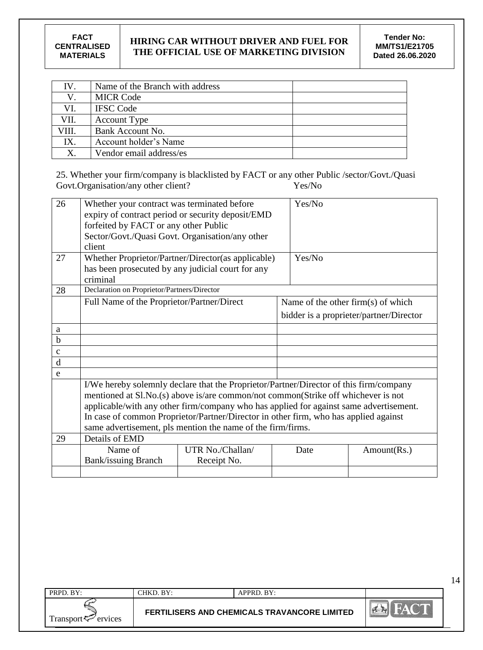| IV.   | Name of the Branch with address |  |
|-------|---------------------------------|--|
|       | <b>MICR Code</b>                |  |
| VI.   | <b>IFSC Code</b>                |  |
| VII.  | <b>Account Type</b>             |  |
| VIII. | Bank Account No.                |  |
| IX.   | Account holder's Name           |  |
| Х.    | Vendor email address/es         |  |

25. Whether your firm/company is blacklisted by FACT or any other Public /sector/Govt./Quasi Govt.Organisation/any other client? Yes/No

| 26           | Whether your contract was terminated before       |                                                                                                                                                                                                                                                                                                                                                                                                                              | Yes/No |                                         |
|--------------|---------------------------------------------------|------------------------------------------------------------------------------------------------------------------------------------------------------------------------------------------------------------------------------------------------------------------------------------------------------------------------------------------------------------------------------------------------------------------------------|--------|-----------------------------------------|
|              |                                                   | expiry of contract period or security deposit/EMD                                                                                                                                                                                                                                                                                                                                                                            |        |                                         |
|              | forfeited by FACT or any other Public             |                                                                                                                                                                                                                                                                                                                                                                                                                              |        |                                         |
|              | Sector/Govt./Quasi Govt. Organisation/any other   |                                                                                                                                                                                                                                                                                                                                                                                                                              |        |                                         |
|              | client                                            |                                                                                                                                                                                                                                                                                                                                                                                                                              |        |                                         |
| 27           |                                                   | Whether Proprietor/Partner/Director(as applicable)                                                                                                                                                                                                                                                                                                                                                                           | Yes/No |                                         |
|              | has been prosecuted by any judicial court for any |                                                                                                                                                                                                                                                                                                                                                                                                                              |        |                                         |
|              | criminal                                          |                                                                                                                                                                                                                                                                                                                                                                                                                              |        |                                         |
| 28           | Declaration on Proprietor/Partners/Director       |                                                                                                                                                                                                                                                                                                                                                                                                                              |        |                                         |
|              | Full Name of the Proprietor/Partner/Direct        |                                                                                                                                                                                                                                                                                                                                                                                                                              |        | Name of the other firm(s) of which      |
|              |                                                   |                                                                                                                                                                                                                                                                                                                                                                                                                              |        | bidder is a proprieter/partner/Director |
| a            |                                                   |                                                                                                                                                                                                                                                                                                                                                                                                                              |        |                                         |
| $\mathbf b$  |                                                   |                                                                                                                                                                                                                                                                                                                                                                                                                              |        |                                         |
| $\mathbf c$  |                                                   |                                                                                                                                                                                                                                                                                                                                                                                                                              |        |                                         |
| $\mathbf{d}$ |                                                   |                                                                                                                                                                                                                                                                                                                                                                                                                              |        |                                         |
| e            |                                                   |                                                                                                                                                                                                                                                                                                                                                                                                                              |        |                                         |
|              |                                                   | I/We hereby solemnly declare that the Proprietor/Partner/Director of this firm/company<br>mentioned at Sl.No.(s) above is/are common/not common(Strike off whichever is not<br>applicable/with any other firm/company who has applied for against same advertisement.<br>In case of common Proprietor/Partner/Director in other firm, who has applied against<br>same advertisement, pls mention the name of the firm/firms. |        |                                         |
| 29           | Details of EMD                                    |                                                                                                                                                                                                                                                                                                                                                                                                                              |        |                                         |
|              | Name of                                           | UTR No./Challan/                                                                                                                                                                                                                                                                                                                                                                                                             | Date   | Amount(Rs.)                             |
|              | <b>Bank/issuing Branch</b>                        | Receipt No.                                                                                                                                                                                                                                                                                                                                                                                                                  |        |                                         |
|              |                                                   |                                                                                                                                                                                                                                                                                                                                                                                                                              |        |                                         |

| PRPD. BY:            | CHKD. BY: | APPRD. BY:                                   |  |
|----------------------|-----------|----------------------------------------------|--|
| Transport<br>ervices |           | FERTILISERS AND CHEMICALS TRAVANCORE LIMITED |  |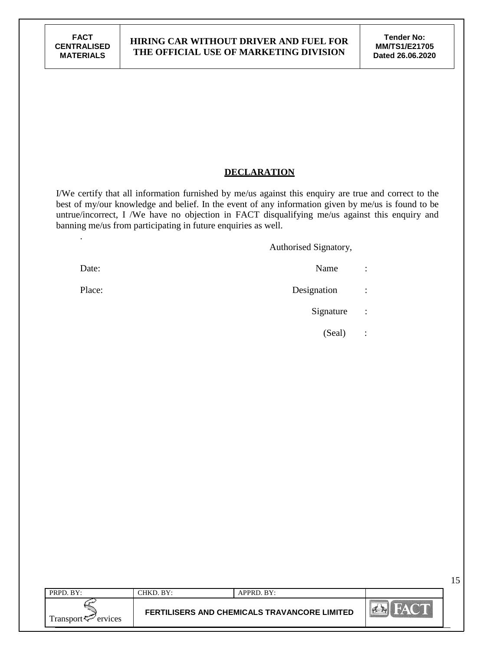.

#### **HIRING CAR WITHOUT DRIVER AND FUEL FOR THE OFFICIAL USE OF MARKETING DIVISION**

15

# **DECLARATION**

I/We certify that all information furnished by me/us against this enquiry are true and correct to the best of my/our knowledge and belief. In the event of any information given by me/us is found to be untrue/incorrect, I /We have no objection in FACT disqualifying me/us against this enquiry and banning me/us from participating in future enquiries as well.

Authorised Signatory,

- Date: Name : Name : Name : Name : Name : Name : Name : Name : Name : Name : Name : Name : Name : Name : Name :  $\mathbb{R}$ Place: Designation : Signature :
	- (Seal) :

| PRPD. BY:              | CHKD. BY: | APPRD. BY:                                   |                  |
|------------------------|-----------|----------------------------------------------|------------------|
| Transport < F≃ ervices |           | FERTILISERS AND CHEMICALS TRAVANCORE LIMITED | $\sum_{k=1}^{n}$ |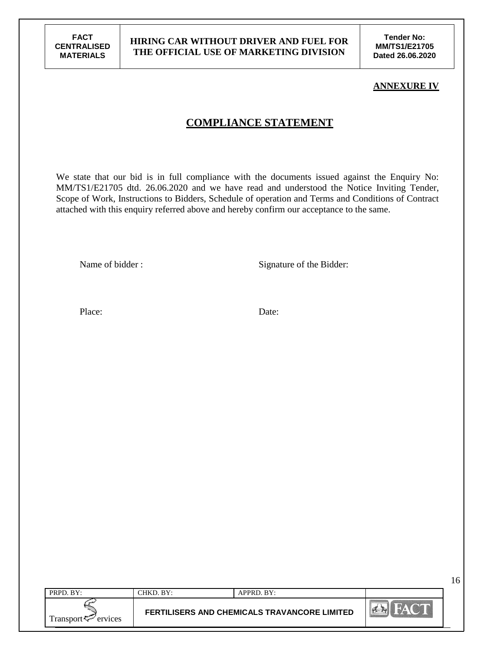**Tender No: MM/TS1/E21705 Dated 26.06.2020**

#### **ANNEXURE IV**

# **COMPLIANCE STATEMENT**

We state that our bid is in full compliance with the documents issued against the Enquiry No: MM/TS1/E21705 dtd. 26.06.2020 and we have read and understood the Notice Inviting Tender, Scope of Work, Instructions to Bidders, Schedule of operation and Terms and Conditions of Contract attached with this enquiry referred above and hereby confirm our acceptance to the same.

Name of bidder : Signature of the Bidder:

Place: Date:

| PRPD. BY:              | CHKD. BY: | APPRD. BY:                                          |             |
|------------------------|-----------|-----------------------------------------------------|-------------|
| Fransport <<br>ervices |           | <b>FERTILISERS AND CHEMICALS TRAVANCORE LIMITED</b> | <b>PERT</b> |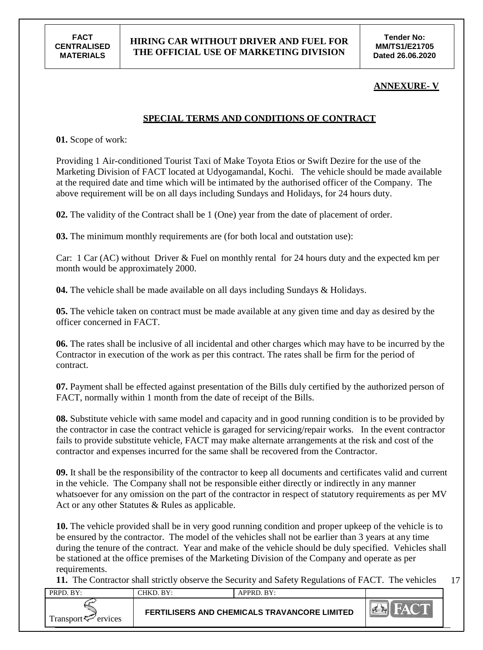#### **HIRING CAR WITHOUT DRIVER AND FUEL FOR THE OFFICIAL USE OF MARKETING DIVISION**

**Tender No: MM/TS1/E21705 Dated 26.06.2020**

#### **ANNEXURE- V**

# **SPECIAL TERMS AND CONDITIONS OF CONTRACT**

**01.** Scope of work:

Providing 1 Air-conditioned Tourist Taxi of Make Toyota Etios or Swift Dezire for the use of the Marketing Division of FACT located at Udyogamandal, Kochi. The vehicle should be made available at the required date and time which will be intimated by the authorised officer of the Company. The above requirement will be on all days including Sundays and Holidays, for 24 hours duty.

**02.** The validity of the Contract shall be 1 (One) year from the date of placement of order.

**03.** The minimum monthly requirements are (for both local and outstation use):

Car: 1 Car (AC) without Driver & Fuel on monthly rental for 24 hours duty and the expected km per month would be approximately 2000.

**04.** The vehicle shall be made available on all days including Sundays & Holidays.

**05.** The vehicle taken on contract must be made available at any given time and day as desired by the officer concerned in FACT.

**06.** The rates shall be inclusive of all incidental and other charges which may have to be incurred by the Contractor in execution of the work as per this contract. The rates shall be firm for the period of contract.

**07.** Payment shall be effected against presentation of the Bills duly certified by the authorized person of FACT, normally within 1 month from the date of receipt of the Bills.

**08.** Substitute vehicle with same model and capacity and in good running condition is to be provided by the contractor in case the contract vehicle is garaged for servicing/repair works. In the event contractor fails to provide substitute vehicle, FACT may make alternate arrangements at the risk and cost of the contractor and expenses incurred for the same shall be recovered from the Contractor.

**09.** It shall be the responsibility of the contractor to keep all documents and certificates valid and current in the vehicle. The Company shall not be responsible either directly or indirectly in any manner whatsoever for any omission on the part of the contractor in respect of statutory requirements as per MV Act or any other Statutes & Rules as applicable.

**10.** The vehicle provided shall be in very good running condition and proper upkeep of the vehicle is to be ensured by the contractor. The model of the vehicles shall not be earlier than 3 years at any time during the tenure of the contract. Year and make of the vehicle should be duly specified. Vehicles shall be stationed at the office premises of the Marketing Division of the Company and operate as per requirements.

17 **11.** The Contractor shall strictly observe the Security and Safety Regulations of FACT. The vehicles

| PRPD, BY:                      | CHKD. BY: | APPRD. BY:                                          |  |
|--------------------------------|-----------|-----------------------------------------------------|--|
| Transport <sup>7</sup> ervices |           | <b>FERTILISERS AND CHEMICALS TRAVANCORE LIMITED</b> |  |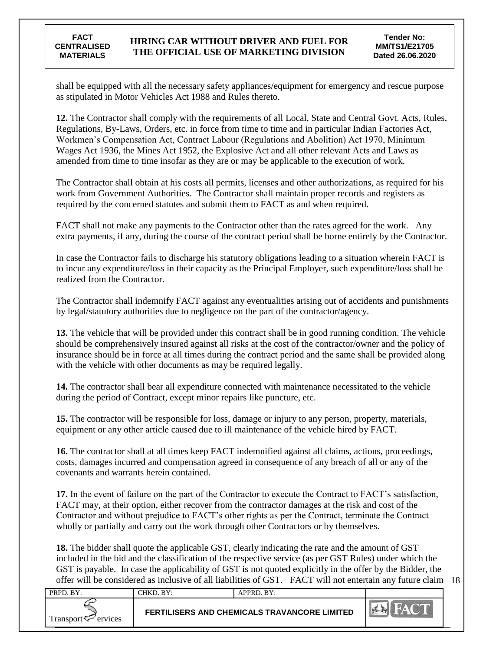shall be equipped with all the necessary safety appliances/equipment for emergency and rescue purpose as stipulated in Motor Vehicles Act 1988 and Rules thereto.

**12.** The Contractor shall comply with the requirements of all Local, State and Central Govt. Acts, Rules, Regulations, By-Laws, Orders, etc. in force from time to time and in particular Indian Factories Act, Workmen"s Compensation Act, Contract Labour (Regulations and Abolition) Act 1970, Minimum Wages Act 1936, the Mines Act 1952, the Explosive Act and all other relevant Acts and Laws as amended from time to time insofar as they are or may be applicable to the execution of work.

The Contractor shall obtain at his costs all permits, licenses and other authorizations, as required for his work from Government Authorities. The Contractor shall maintain proper records and registers as required by the concerned statutes and submit them to FACT as and when required.

FACT shall not make any payments to the Contractor other than the rates agreed for the work. Any extra payments, if any, during the course of the contract period shall be borne entirely by the Contractor.

In case the Contractor fails to discharge his statutory obligations leading to a situation wherein FACT is to incur any expenditure/loss in their capacity as the Principal Employer, such expenditure/loss shall be realized from the Contractor.

The Contractor shall indemnify FACT against any eventualities arising out of accidents and punishments by legal/statutory authorities due to negligence on the part of the contractor/agency.

**13.** The vehicle that will be provided under this contract shall be in good running condition. The vehicle should be comprehensively insured against all risks at the cost of the contractor/owner and the policy of insurance should be in force at all times during the contract period and the same shall be provided along with the vehicle with other documents as may be required legally.

**14.** The contractor shall bear all expenditure connected with maintenance necessitated to the vehicle during the period of Contract, except minor repairs like puncture, etc.

**15.** The contractor will be responsible for loss, damage or injury to any person, property, materials, equipment or any other article caused due to ill maintenance of the vehicle hired by FACT.

**16.** The contractor shall at all times keep FACT indemnified against all claims, actions, proceedings, costs, damages incurred and compensation agreed in consequence of any breach of all or any of the covenants and warrants herein contained.

**17.** In the event of failure on the part of the Contractor to execute the Contract to FACT"s satisfaction, FACT may, at their option, either recover from the contractor damages at the risk and cost of the Contractor and without prejudice to FACT"s other rights as per the Contract, terminate the Contract wholly or partially and carry out the work through other Contractors or by themselves.

offer will be considered as inclusive of all liabilities of GST. FACT will not entertain any future claim 18 **18.** The bidder shall quote the applicable GST, clearly indicating the rate and the amount of GST included in the bid and the classification of the respective service (as per GST Rules) under which the GST is payable. In case the applicability of GST is not quoted explicitly in the offer by the Bidder, the

| PRPD. BY:                      | CHKD, BY: | $APPRD$ . BY:                                       |  |
|--------------------------------|-----------|-----------------------------------------------------|--|
| Transport <sup>7</sup> ervices |           | <b>FERTILISERS AND CHEMICALS TRAVANCORE LIMITED</b> |  |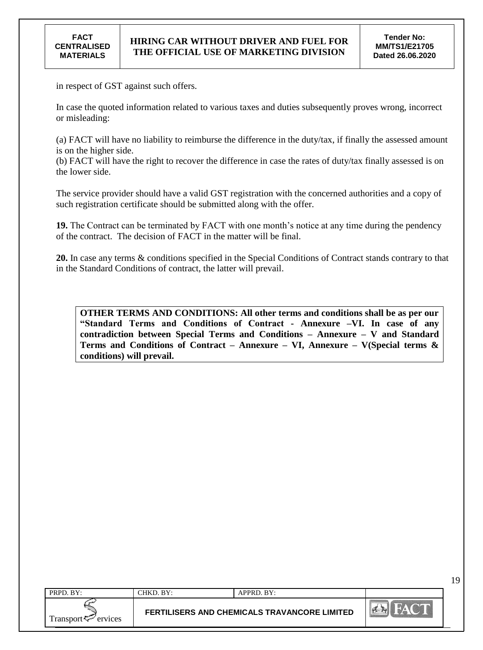in respect of GST against such offers.

In case the quoted information related to various taxes and duties subsequently proves wrong, incorrect or misleading:

(a) FACT will have no liability to reimburse the difference in the duty/tax, if finally the assessed amount is on the higher side.

(b) FACT will have the right to recover the difference in case the rates of duty/tax finally assessed is on the lower side.

The service provider should have a valid GST registration with the concerned authorities and a copy of such registration certificate should be submitted along with the offer.

19. The Contract can be terminated by FACT with one month's notice at any time during the pendency of the contract. The decision of FACT in the matter will be final.

**20.** In case any terms & conditions specified in the Special Conditions of Contract stands contrary to that in the Standard Conditions of contract, the latter will prevail.

**OTHER TERMS AND CONDITIONS: All other terms and conditions shall be as per our "Standard Terms and Conditions of Contract - Annexure –VI. In case of any contradiction between Special Terms and Conditions – Annexure – V and Standard Terms and Conditions of Contract – Annexure – VI, Annexure – V(Special terms & conditions) will prevail.**

| PRPD. BY:                                                         | CHKD. BY: | APPRD. BY:                                   |                 |
|-------------------------------------------------------------------|-----------|----------------------------------------------|-----------------|
| $i$ <sup>r</sup> ansport $\tau$ <sup>-</sup><br>ervices<br>$\sim$ |           | FERTILISERS AND CHEMICALS TRAVANCORE LIMITED | <b>Piece Pa</b> |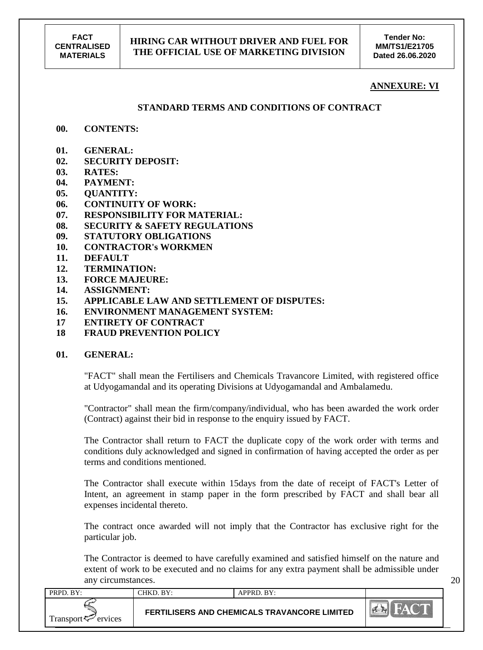**Tender No: MM/TS1/E21705 Dated 26.06.2020**

#### **ANNEXURE: VI**

20

#### **STANDARD TERMS AND CONDITIONS OF CONTRACT**

#### **00. CONTENTS:**

- **01. GENERAL:**
- **02. SECURITY DEPOSIT:**
- **03. RATES:**
- **04. PAYMENT:**
- **05. QUANTITY:**
- **06. CONTINUITY OF WORK:**
- **07. RESPONSIBILITY FOR MATERIAL:**
- **08. SECURITY & SAFETY REGULATIONS**
- **09. STATUTORY OBLIGATIONS**
- **10. CONTRACTOR's WORKMEN**
- **11. DEFAULT**
- **12. TERMINATION:**
- **13. FORCE MAJEURE:**
- **14. ASSIGNMENT:**
- **15. APPLICABLE LAW AND SETTLEMENT OF DISPUTES:**
- **16. ENVIRONMENT MANAGEMENT SYSTEM:**
- **17 ENTIRETY OF CONTRACT**
- **18 FRAUD PREVENTION POLICY**

#### **01. GENERAL:**

"FACT" shall mean the Fertilisers and Chemicals Travancore Limited, with registered office at Udyogamandal and its operating Divisions at Udyogamandal and Ambalamedu.

"Contractor" shall mean the firm/company/individual, who has been awarded the work order (Contract) against their bid in response to the enquiry issued by FACT.

The Contractor shall return to FACT the duplicate copy of the work order with terms and conditions duly acknowledged and signed in confirmation of having accepted the order as per terms and conditions mentioned.

The Contractor shall execute within 15days from the date of receipt of FACT's Letter of Intent, an agreement in stamp paper in the form prescribed by FACT and shall bear all expenses incidental thereto.

The contract once awarded will not imply that the Contractor has exclusive right for the particular job.

The Contractor is deemed to have carefully examined and satisfied himself on the nature and extent of work to be executed and no claims for any extra payment shall be admissible under any circumstances.

| PRPD. BY:           | CHKD. BY: | APPRD. BY:                                          |  |
|---------------------|-----------|-----------------------------------------------------|--|
| Transport < Frances |           | <b>FERTILISERS AND CHEMICALS TRAVANCORE LIMITED</b> |  |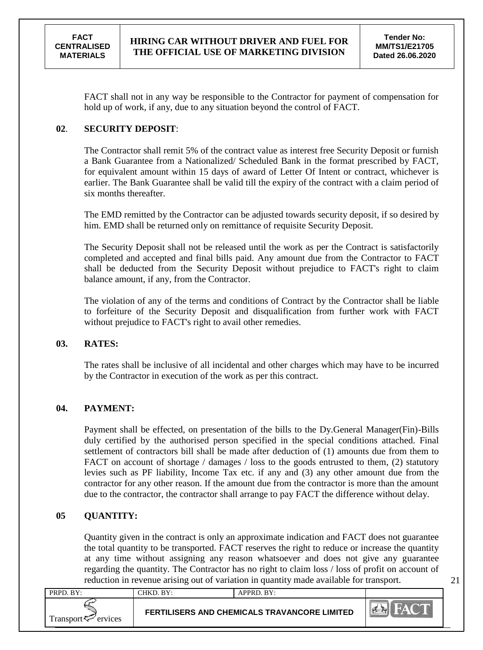21

FACT shall not in any way be responsible to the Contractor for payment of compensation for hold up of work, if any, due to any situation beyond the control of FACT.

# **02**. **SECURITY DEPOSIT**:

The Contractor shall remit 5% of the contract value as interest free Security Deposit or furnish a Bank Guarantee from a Nationalized/ Scheduled Bank in the format prescribed by FACT, for equivalent amount within 15 days of award of Letter Of Intent or contract, whichever is earlier. The Bank Guarantee shall be valid till the expiry of the contract with a claim period of six months thereafter.

The EMD remitted by the Contractor can be adjusted towards security deposit, if so desired by him. EMD shall be returned only on remittance of requisite Security Deposit.

The Security Deposit shall not be released until the work as per the Contract is satisfactorily completed and accepted and final bills paid. Any amount due from the Contractor to FACT shall be deducted from the Security Deposit without prejudice to FACT's right to claim balance amount, if any, from the Contractor.

The violation of any of the terms and conditions of Contract by the Contractor shall be liable to forfeiture of the Security Deposit and disqualification from further work with FACT without prejudice to FACT's right to avail other remedies.

# **03. RATES:**

The rates shall be inclusive of all incidental and other charges which may have to be incurred by the Contractor in execution of the work as per this contract.

# **04. PAYMENT:**

Payment shall be effected, on presentation of the bills to the Dy.General Manager(Fin)-Bills duly certified by the authorised person specified in the special conditions attached. Final settlement of contractors bill shall be made after deduction of (1) amounts due from them to FACT on account of shortage / damages / loss to the goods entrusted to them, (2) statutory levies such as PF liability, Income Tax etc. if any and (3) any other amount due from the contractor for any other reason. If the amount due from the contractor is more than the amount due to the contractor, the contractor shall arrange to pay FACT the difference without delay.

# **05 QUANTITY:**

Quantity given in the contract is only an approximate indication and FACT does not guarantee the total quantity to be transported. FACT reserves the right to reduce or increase the quantity at any time without assigning any reason whatsoever and does not give any guarantee regarding the quantity. The Contractor has no right to claim loss / loss of profit on account of reduction in revenue arising out of variation in quantity made available for transport.

| PRPD. BY:                      | CHKD. BY: | APPRD. BY:                                          |                                                 |
|--------------------------------|-----------|-----------------------------------------------------|-------------------------------------------------|
| Transport $\leftarrow$ ervices |           | <b>FERTILISERS AND CHEMICALS TRAVANCORE LIMITED</b> | <b>MA</b><br><b>HAT ALL</b><br>$\sum_{i=1}^{n}$ |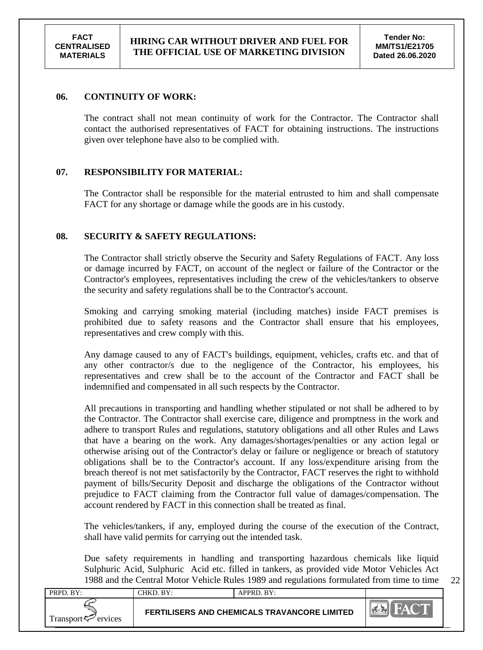22

#### **06. CONTINUITY OF WORK:**

The contract shall not mean continuity of work for the Contractor. The Contractor shall contact the authorised representatives of FACT for obtaining instructions. The instructions given over telephone have also to be complied with.

# **07. RESPONSIBILITY FOR MATERIAL:**

The Contractor shall be responsible for the material entrusted to him and shall compensate FACT for any shortage or damage while the goods are in his custody.

#### **08. SECURITY & SAFETY REGULATIONS:**

The Contractor shall strictly observe the Security and Safety Regulations of FACT. Any loss or damage incurred by FACT, on account of the neglect or failure of the Contractor or the Contractor's employees, representatives including the crew of the vehicles/tankers to observe the security and safety regulations shall be to the Contractor's account.

Smoking and carrying smoking material (including matches) inside FACT premises is prohibited due to safety reasons and the Contractor shall ensure that his employees, representatives and crew comply with this.

Any damage caused to any of FACT's buildings, equipment, vehicles, crafts etc. and that of any other contractor/s due to the negligence of the Contractor, his employees, his representatives and crew shall be to the account of the Contractor and FACT shall be indemnified and compensated in all such respects by the Contractor.

All precautions in transporting and handling whether stipulated or not shall be adhered to by the Contractor. The Contractor shall exercise care, diligence and promptness in the work and adhere to transport Rules and regulations, statutory obligations and all other Rules and Laws that have a bearing on the work. Any damages/shortages/penalties or any action legal or otherwise arising out of the Contractor's delay or failure or negligence or breach of statutory obligations shall be to the Contractor's account. If any loss/expenditure arising from the breach thereof is not met satisfactorily by the Contractor, FACT reserves the right to withhold payment of bills/Security Deposit and discharge the obligations of the Contractor without prejudice to FACT claiming from the Contractor full value of damages/compensation. The account rendered by FACT in this connection shall be treated as final.

The vehicles/tankers, if any, employed during the course of the execution of the Contract, shall have valid permits for carrying out the intended task.

Due safety requirements in handling and transporting hazardous chemicals like liquid Sulphuric Acid, Sulphuric Acid etc. filled in tankers, as provided vide Motor Vehicles Act 1988 and the Central Motor Vehicle Rules 1989 and regulations formulated from time to time

| PRPD. BY:                | CHKD. BY: | APPRD. BY:                                          |                          |
|--------------------------|-----------|-----------------------------------------------------|--------------------------|
| Transport $\sim$ ervices |           | <b>FERTILISERS AND CHEMICALS TRAVANCORE LIMITED</b> | $\sim$<br>$\sum_{i=1}^n$ |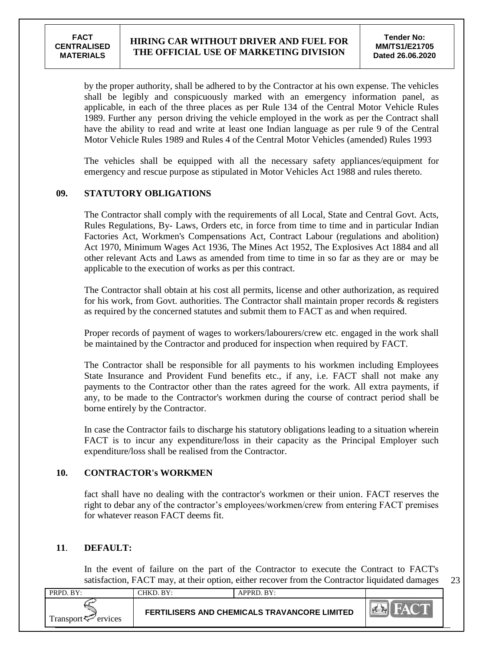23

by the proper authority, shall be adhered to by the Contractor at his own expense. The vehicles shall be legibly and conspicuously marked with an emergency information panel, as applicable, in each of the three places as per Rule 134 of the Central Motor Vehicle Rules 1989. Further any person driving the vehicle employed in the work as per the Contract shall have the ability to read and write at least one Indian language as per rule 9 of the Central Motor Vehicle Rules 1989 and Rules 4 of the Central Motor Vehicles (amended) Rules 1993

The vehicles shall be equipped with all the necessary safety appliances/equipment for emergency and rescue purpose as stipulated in Motor Vehicles Act 1988 and rules thereto.

#### **09. STATUTORY OBLIGATIONS**

The Contractor shall comply with the requirements of all Local, State and Central Govt. Acts, Rules Regulations, By- Laws, Orders etc, in force from time to time and in particular Indian Factories Act, Workmen's Compensations Act, Contract Labour (regulations and abolition) Act 1970, Minimum Wages Act 1936, The Mines Act 1952, The Explosives Act 1884 and all other relevant Acts and Laws as amended from time to time in so far as they are or may be applicable to the execution of works as per this contract.

The Contractor shall obtain at his cost all permits, license and other authorization, as required for his work, from Govt. authorities. The Contractor shall maintain proper records & registers as required by the concerned statutes and submit them to FACT as and when required.

Proper records of payment of wages to workers/labourers/crew etc. engaged in the work shall be maintained by the Contractor and produced for inspection when required by FACT.

The Contractor shall be responsible for all payments to his workmen including Employees State Insurance and Provident Fund benefits etc., if any, i.e. FACT shall not make any payments to the Contractor other than the rates agreed for the work. All extra payments, if any, to be made to the Contractor's workmen during the course of contract period shall be borne entirely by the Contractor.

In case the Contractor fails to discharge his statutory obligations leading to a situation wherein FACT is to incur any expenditure/loss in their capacity as the Principal Employer such expenditure/loss shall be realised from the Contractor.

# **10. CONTRACTOR's WORKMEN**

fact shall have no dealing with the contractor's workmen or their union. FACT reserves the right to debar any of the contractor"s employees/workmen/crew from entering FACT premises for whatever reason FACT deems fit.

#### **11**. **DEFAULT:**

In the event of failure on the part of the Contractor to execute the Contract to FACT's satisfaction, FACT may, at their option, either recover from the Contractor liquidated damages

| PRPD. BY:                      | CHKD. BY: | APPRD. BY:                                          |     |
|--------------------------------|-----------|-----------------------------------------------------|-----|
| Transport <sup>7</sup> ervices |           | <b>FERTILISERS AND CHEMICALS TRAVANCORE LIMITED</b> | PER |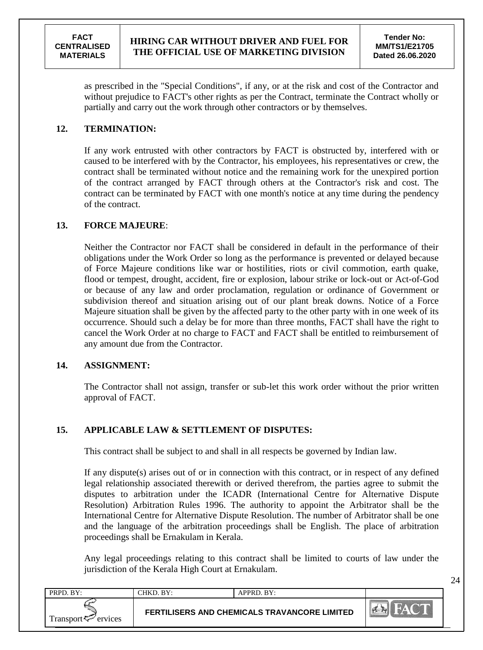as prescribed in the "Special Conditions", if any, or at the risk and cost of the Contractor and without prejudice to FACT's other rights as per the Contract, terminate the Contract wholly or partially and carry out the work through other contractors or by themselves.

# **12. TERMINATION:**

If any work entrusted with other contractors by FACT is obstructed by, interfered with or caused to be interfered with by the Contractor, his employees, his representatives or crew, the contract shall be terminated without notice and the remaining work for the unexpired portion of the contract arranged by FACT through others at the Contractor's risk and cost. The contract can be terminated by FACT with one month's notice at any time during the pendency of the contract.

# **13. FORCE MAJEURE**:

Neither the Contractor nor FACT shall be considered in default in the performance of their obligations under the Work Order so long as the performance is prevented or delayed because of Force Majeure conditions like war or hostilities, riots or civil commotion, earth quake, flood or tempest, drought, accident, fire or explosion, labour strike or lock-out or Act-of-God or because of any law and order proclamation, regulation or ordinance of Government or subdivision thereof and situation arising out of our plant break downs. Notice of a Force Majeure situation shall be given by the affected party to the other party with in one week of its occurrence. Should such a delay be for more than three months, FACT shall have the right to cancel the Work Order at no charge to FACT and FACT shall be entitled to reimbursement of any amount due from the Contractor.

#### **14. ASSIGNMENT:**

The Contractor shall not assign, transfer or sub-let this work order without the prior written approval of FACT.

# **15. APPLICABLE LAW & SETTLEMENT OF DISPUTES:**

This contract shall be subject to and shall in all respects be governed by Indian law.

If any dispute(s) arises out of or in connection with this contract, or in respect of any defined legal relationship associated therewith or derived therefrom, the parties agree to submit the disputes to arbitration under the ICADR (International Centre for Alternative Dispute Resolution) Arbitration Rules 1996. The authority to appoint the Arbitrator shall be the International Centre for Alternative Dispute Resolution. The number of Arbitrator shall be one and the language of the arbitration proceedings shall be English. The place of arbitration proceedings shall be Ernakulam in Kerala.

Any legal proceedings relating to this contract shall be limited to courts of law under the jurisdiction of the Kerala High Court at Ernakulam.

| PRPD. BY:                      | CHKD. BY: | APPRD. BY:                                   |                  |
|--------------------------------|-----------|----------------------------------------------|------------------|
| Transport <sup>7</sup> ervices |           | FERTILISERS AND CHEMICALS TRAVANCORE LIMITED | $\sum_{k=1}^{n}$ |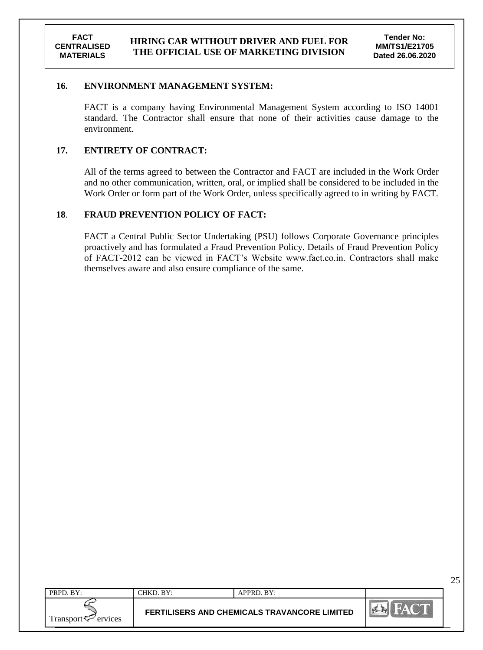25

#### **16. ENVIRONMENT MANAGEMENT SYSTEM:**

FACT is a company having Environmental Management System according to ISO 14001 standard. The Contractor shall ensure that none of their activities cause damage to the environment.

#### **17. ENTIRETY OF CONTRACT:**

All of the terms agreed to between the Contractor and FACT are included in the Work Order and no other communication, written, oral, or implied shall be considered to be included in the Work Order or form part of the Work Order, unless specifically agreed to in writing by FACT.

#### **18**. **FRAUD PREVENTION POLICY OF FACT:**

FACT a Central Public Sector Undertaking (PSU) follows Corporate Governance principles proactively and has formulated a Fraud Prevention Policy. Details of Fraud Prevention Policy of FACT-2012 can be viewed in FACT"s Website www.fact.co.in. Contractors shall make themselves aware and also ensure compliance of the same.

| PRPD. BY:            | CHKD. BY: | APPRD. BY:                                   |  |
|----------------------|-----------|----------------------------------------------|--|
| Transport<br>ervices |           | FERTILISERS AND CHEMICALS TRAVANCORE LIMITED |  |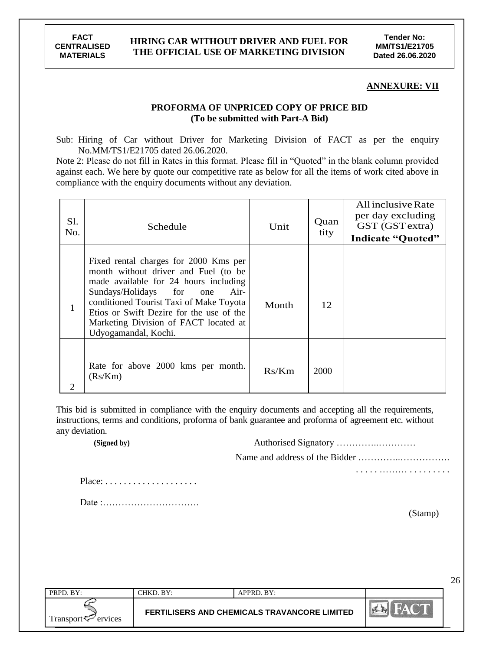#### **ANNEXURE: VII**

#### **PROFORMA OF UNPRICED COPY OF PRICE BID (To be submitted with Part-A Bid)**

Sub: Hiring of Car without Driver for Marketing Division of FACT as per the enquiry No.MM/TS1/E21705 dated 26.06.2020.

Note 2: Please do not fill in Rates in this format. Please fill in "Quoted" in the blank column provided against each. We here by quote our competitive rate as below for all the items of work cited above in compliance with the enquiry documents without any deviation.

| Sl.<br>No. | Schedule                                                                                                                                                                                                                                                                                                              | Unit  | Quan<br>tity | All inclusive Rate<br>per day excluding<br>GST (GST extra)<br><b>Indicate "Quoted"</b> |
|------------|-----------------------------------------------------------------------------------------------------------------------------------------------------------------------------------------------------------------------------------------------------------------------------------------------------------------------|-------|--------------|----------------------------------------------------------------------------------------|
|            | Fixed rental charges for 2000 Kms per<br>month without driver and Fuel (to be<br>made available for 24 hours including<br>Sundays/Holidays for<br>Air-<br>one<br>conditioned Tourist Taxi of Make Toyota<br>Etios or Swift Dezire for the use of the<br>Marketing Division of FACT located at<br>Udyogamandal, Kochi. | Month | 12           |                                                                                        |
| 2          | Rate for above 2000 kms per month.<br>(Rs/Km)                                                                                                                                                                                                                                                                         | Rs/Km | 2000         |                                                                                        |

This bid is submitted in compliance with the enquiry documents and accepting all the requirements, instructions, terms and conditions, proforma of bank guarantee and proforma of agreement etc. without any deviation.

**(Signed by)** Authorised Signatory …………..…………

Name and address of the Bidder …………..…………….

Place: . . . . . . . . . . . . . . . . . . . .

Date :………………………….

(Stamp)

. . . . . ……… . . . . . . . . .

| $PRPD$ . $BY:$                         | RV <sup>1</sup><br>`HKD. | $APPRD$ . $BY:$                              |  |
|----------------------------------------|--------------------------|----------------------------------------------|--|
| Fransport <del>V</del><br>ervices<br>س |                          | FERTILISERS AND CHEMICALS TRAVANCORE LIMITED |  |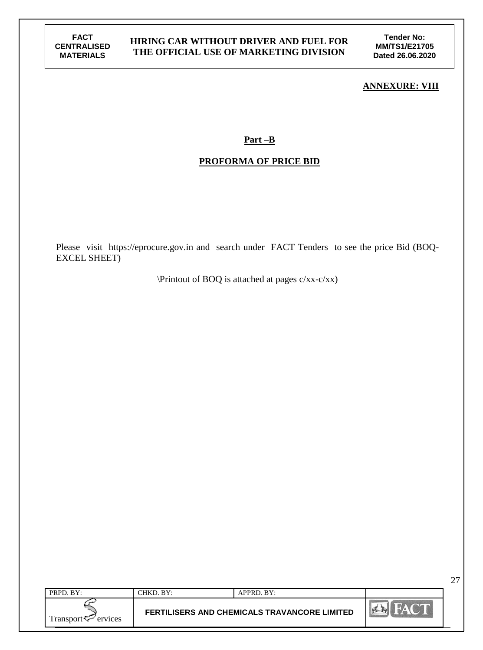**Tender No: MM/TS1/E21705 Dated 26.06.2020**

#### **ANNEXURE: VIII**

27

#### **Part –B**

#### **PROFORMA OF PRICE BID**

Please visit https://eprocure.gov.in and search under FACT Tenders to see the price Bid (BOQ-EXCEL SHEET)

\Printout of BOQ is attached at pages c/xx-c/xx)

| PRPD. BY:                      | $CHKD$ . $BY:$ | APPRD. BY:                                          |                |
|--------------------------------|----------------|-----------------------------------------------------|----------------|
| Transport <f<br>ervices</f<br> |                | <b>FERTILISERS AND CHEMICALS TRAVANCORE LIMITED</b> | <b>CARGE A</b> |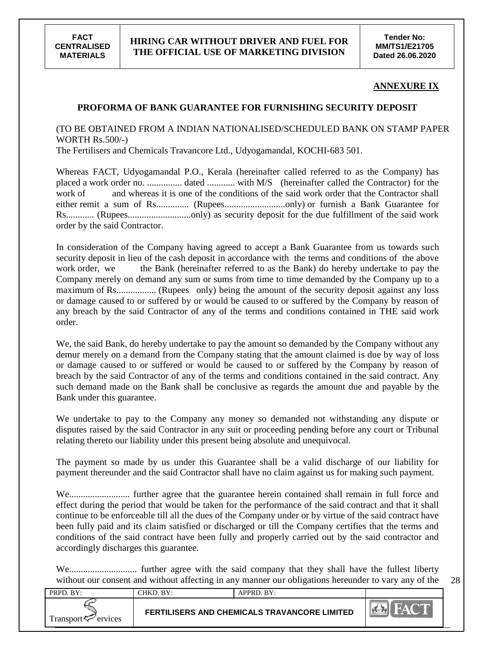

#### **ANNEXURE IX**

28

#### **PROFORMA OF BANK GUARANTEE FOR FURNISHING SECURITY DEPOSIT**

(TO BE OBTAINED FROM A INDIAN NATIONALISED/SCHEDULED BANK ON STAMP PAPER WORTH Rs.500/-)

The Fertilisers and Chemicals Travancore Ltd., Udyogamandal, KOCHI-683 501.

Whereas FACT, Udyogamandal P.O., Kerala (hereinafter called referred to as the Company) has placed a work order no. ............... dated ............ with M/S (hereinafter called the Contractor) for the work of and whereas it is one of the conditions of the said work order that the Contractor shall either remit a sum of Rs.............. (Rupees..........................only) or furnish a Bank Guarantee for Rs............ (Rupees...........................only) as security deposit for the due fulfillment of the said work order by the said Contractor.

In consideration of the Company having agreed to accept a Bank Guarantee from us towards such security deposit in lieu of the cash deposit in accordance with the terms and conditions of the above work order, we the Bank (hereinafter referred to as the Bank) do hereby undertake to pay the Company merely on demand any sum or sums from time to time demanded by the Company up to a maximum of Rs................. (Rupees only) being the amount of the security deposit against any loss or damage caused to or suffered by or would be caused to or suffered by the Company by reason of any breach by the said Contractor of any of the terms and conditions contained in THE said work order.

We, the said Bank, do hereby undertake to pay the amount so demanded by the Company without any demur merely on a demand from the Company stating that the amount claimed is due by way of loss or damage caused to or suffered or would be caused to or suffered by the Company by reason of breach by the said Contractor of any of the terms and conditions contained in the said contract. Any such demand made on the Bank shall be conclusive as regards the amount due and payable by the Bank under this guarantee.

We undertake to pay to the Company any money so demanded not withstanding any dispute or disputes raised by the said Contractor in any suit or proceeding pending before any court or Tribunal relating thereto our liability under this present being absolute and unequivocal.

The payment so made by us under this Guarantee shall be a valid discharge of our liability for payment thereunder and the said Contractor shall have no claim against us for making such payment.

We.......................... further agree that the guarantee herein contained shall remain in full force and effect during the period that would be taken for the performance of the said contract and that it shall continue to be enforceable till all the dues of the Company under or by virtue of the said contract have been fully paid and its claim satisfied or discharged or till the Company certifies that the terms and conditions of the said contract have been fully and properly carried out by the said contractor and accordingly discharges this guarantee.

We............................. further agree with the said company that they shall have the fullest liberty without our consent and without affecting in any manner our obligations hereunder to vary any of the

| PRPD. BY:                      | CHKD. BY:                                           | $APPRD$ . $BY:$ |                  |
|--------------------------------|-----------------------------------------------------|-----------------|------------------|
| Transport <f<br>ervices</f<br> | <b>FERTILISERS AND CHEMICALS TRAVANCORE LIMITED</b> |                 | $\sum_{i=1}^{n}$ |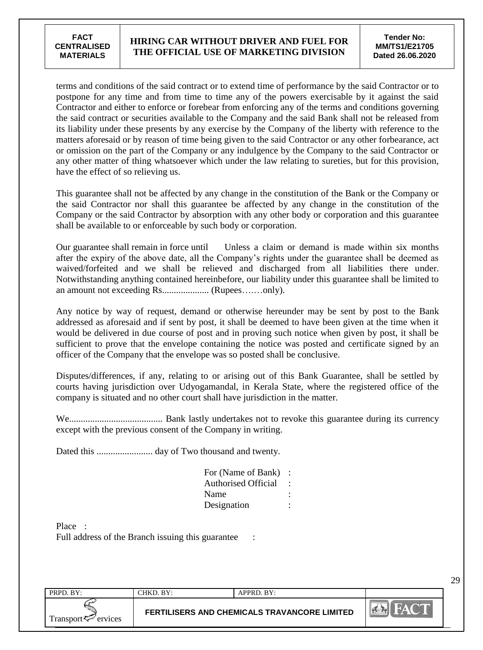terms and conditions of the said contract or to extend time of performance by the said Contractor or to postpone for any time and from time to time any of the powers exercisable by it against the said Contractor and either to enforce or forebear from enforcing any of the terms and conditions governing the said contract or securities available to the Company and the said Bank shall not be released from its liability under these presents by any exercise by the Company of the liberty with reference to the matters aforesaid or by reason of time being given to the said Contractor or any other forbearance, act or omission on the part of the Company or any indulgence by the Company to the said Contractor or any other matter of thing whatsoever which under the law relating to sureties, but for this provision, have the effect of so relieving us.

This guarantee shall not be affected by any change in the constitution of the Bank or the Company or the said Contractor nor shall this guarantee be affected by any change in the constitution of the Company or the said Contractor by absorption with any other body or corporation and this guarantee shall be available to or enforceable by such body or corporation.

Our guarantee shall remain in force until Unless a claim or demand is made within six months after the expiry of the above date, all the Company"s rights under the guarantee shall be deemed as waived/forfeited and we shall be relieved and discharged from all liabilities there under. Notwithstanding anything contained hereinbefore, our liability under this guarantee shall be limited to an amount not exceeding Rs.................... (Rupees….…only).

Any notice by way of request, demand or otherwise hereunder may be sent by post to the Bank addressed as aforesaid and if sent by post, it shall be deemed to have been given at the time when it would be delivered in due course of post and in proving such notice when given by post, it shall be sufficient to prove that the envelope containing the notice was posted and certificate signed by an officer of the Company that the envelope was so posted shall be conclusive.

Disputes/differences, if any, relating to or arising out of this Bank Guarantee, shall be settled by courts having jurisdiction over Udyogamandal, in Kerala State, where the registered office of the company is situated and no other court shall have jurisdiction in the matter.

We........................................ Bank lastly undertakes not to revoke this guarantee during its currency except with the previous consent of the Company in writing.

Dated this ........................ day of Two thousand and twenty.

| For (Name of Bank)         |  |
|----------------------------|--|
| <b>Authorised Official</b> |  |
| Name                       |  |
| Designation                |  |

Place : Full address of the Branch issuing this guarantee :

| PRPD, BY:               | ~HKD. BY: | APPRD. BY:                                   |               |
|-------------------------|-----------|----------------------------------------------|---------------|
| Transport <⊄<br>ervices |           | FERTILISERS AND CHEMICALS TRAVANCORE LIMITED | <b>PLE RY</b> |